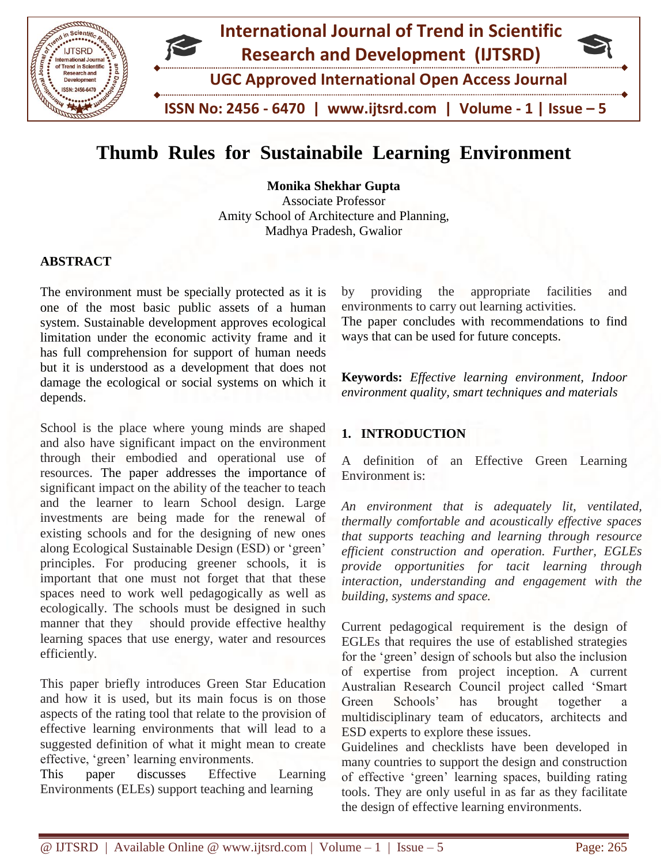

# **Thumb Rules for Sustainabile Learning Environment**

**Monika Shekhar Gupta**

Associate Professor Amity School of Architecture and Planning, Madhya Pradesh, Gwalior

#### **ABSTRACT**

The environment must be specially protected as it is one of the most basic public assets of a human system. Sustainable development approves ecological limitation under the economic activity frame and it has full comprehension for support of human needs but it is understood as a development that does not damage the ecological or social systems on which it depends.

School is the place where young minds are shaped and also have significant impact on the environment through their embodied and operational use of resources. The paper addresses the importance of significant impact on the ability of the teacher to teach and the learner to learn School design. Large investments are being made for the renewal of existing schools and for the designing of new ones along Ecological Sustainable Design (ESD) or 'green' principles. For producing greener schools, it is important that one must not forget that that these spaces need to work well pedagogically as well as ecologically. The schools must be designed in such manner that they should provide effective healthy learning spaces that use energy, water and resources efficiently.

This paper briefly introduces Green Star Education and how it is used, but its main focus is on those aspects of the rating tool that relate to the provision of effective learning environments that will lead to a suggested definition of what it might mean to create effective, 'green' learning environments.

This paper discusses Effective Learning Environments (ELEs) support teaching and learning

by providing the appropriate facilities and environments to carry out learning activities.

The paper concludes with recommendations to find ways that can be used for future concepts.

**Keywords:** *Effective learning environment, Indoor environment quality, smart techniques and materials*

# **1. INTRODUCTION**

A definition of an Effective Green Learning Environment is:

*An environment that is adequately lit, ventilated, thermally comfortable and acoustically effective spaces that supports teaching and learning through resource efficient construction and operation. Further, EGLEs provide opportunities for tacit learning through interaction, understanding and engagement with the building, systems and space.*

Current pedagogical requirement is the design of EGLEs that requires the use of established strategies for the 'green' design of schools but also the inclusion of expertise from project inception. A current Australian Research Council project called 'Smart Green Schools' has brought together a multidisciplinary team of educators, architects and ESD experts to explore these issues.

Guidelines and checklists have been developed in many countries to support the design and construction of effective 'green' learning spaces, building rating tools. They are only useful in as far as they facilitate the design of effective learning environments.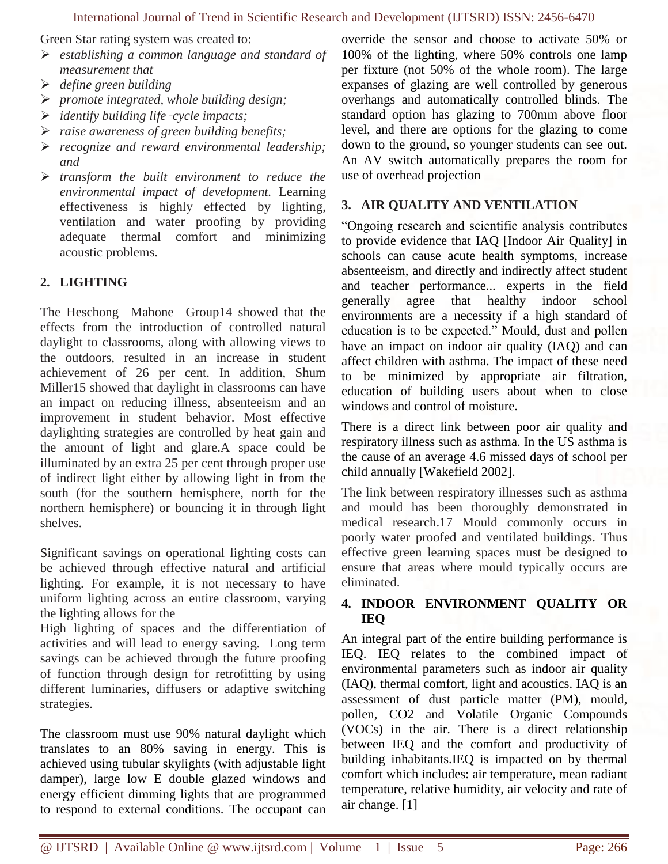Green Star rating system was created to:

- *establishing a common language and standard of measurement that*
- *define green building*
- *promote integrated, whole building design;*
- *identify building life*‑*cycle impacts;*
- *raise awareness of green building benefits;*
- *recognize and reward environmental leadership; and*
- *transform the built environment to reduce the environmental impact of development.* Learning effectiveness is highly effected by lighting, ventilation and water proofing by providing adequate thermal comfort and minimizing acoustic problems.

# **2. LIGHTING**

The Heschong Mahone Group14 showed that the effects from the introduction of controlled natural daylight to classrooms, along with allowing views to the outdoors, resulted in an increase in student achievement of 26 per cent. In addition, Shum Miller15 showed that daylight in classrooms can have an impact on reducing illness, absenteeism and an improvement in student behavior. Most effective daylighting strategies are controlled by heat gain and the amount of light and glare.A space could be illuminated by an extra 25 per cent through proper use of indirect light either by allowing light in from the south (for the southern hemisphere, north for the northern hemisphere) or bouncing it in through light shelves.

Significant savings on operational lighting costs can be achieved through effective natural and artificial lighting. For example, it is not necessary to have uniform lighting across an entire classroom, varying the lighting allows for the

High lighting of spaces and the differentiation of activities and will lead to energy saving. Long term savings can be achieved through the future proofing of function through design for retrofitting by using different luminaries, diffusers or adaptive switching strategies.

The classroom must use 90% natural daylight which translates to an 80% saving in energy. This is achieved using tubular skylights (with adjustable light damper), large low E double glazed windows and energy efficient dimming lights that are programmed to respond to external conditions. The occupant can override the sensor and choose to activate 50% or 100% of the lighting, where 50% controls one lamp per fixture (not 50% of the whole room). The large expanses of glazing are well controlled by generous overhangs and automatically controlled blinds. The standard option has glazing to 700mm above floor level, and there are options for the glazing to come down to the ground, so younger students can see out. An AV switch automatically prepares the room for use of overhead projection

#### **3. AIR QUALITY AND VENTILATION**

"Ongoing research and scientific analysis contributes to provide evidence that IAQ [Indoor Air Quality] in schools can cause acute health symptoms, increase absenteeism, and directly and indirectly affect student and teacher performance... experts in the field generally agree that healthy indoor school environments are a necessity if a high standard of education is to be expected." Mould, dust and pollen have an impact on indoor air quality (IAQ) and can affect children with asthma. The impact of these need to be minimized by appropriate air filtration, education of building users about when to close windows and control of moisture.

There is a direct link between poor air quality and respiratory illness such as asthma. In the US asthma is the cause of an average 4.6 missed days of school per child annually [Wakefield 2002].

The link between respiratory illnesses such as asthma and mould has been thoroughly demonstrated in medical research.17 Mould commonly occurs in poorly water proofed and ventilated buildings. Thus effective green learning spaces must be designed to ensure that areas where mould typically occurs are eliminated.

# **4. INDOOR ENVIRONMENT QUALITY OR IEQ**

An integral part of the entire building performance is IEQ. IEQ relates to the combined impact of environmental parameters such as indoor air quality (IAQ), thermal comfort, light and acoustics. IAQ is an assessment of dust particle matter (PM), mould, pollen, CO2 and Volatile Organic Compounds (VOCs) in the air. There is a direct relationship between IEQ and the comfort and productivity of building inhabitants.IEQ is impacted on by thermal comfort which includes: air temperature, mean radiant temperature, relative humidity, air velocity and rate of air change. [1]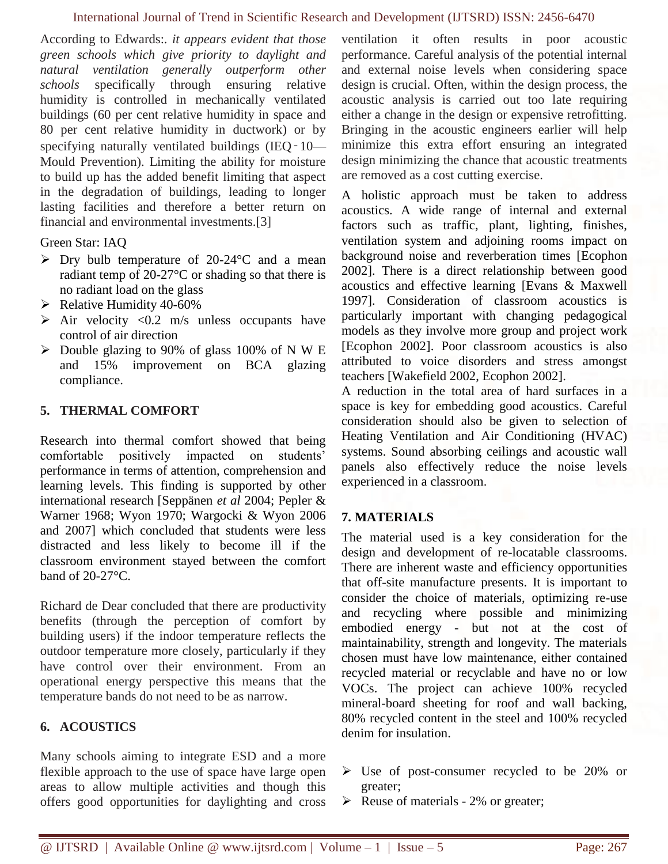According to Edwards:*. it appears evident that those green schools which give priority to daylight and natural ventilation generally outperform other schools* specifically through ensuring relative humidity is controlled in mechanically ventilated buildings (60 per cent relative humidity in space and 80 per cent relative humidity in ductwork) or by specifying naturally ventilated buildings (IEQ - 10— Mould Prevention). Limiting the ability for moisture to build up has the added benefit limiting that aspect in the degradation of buildings, leading to longer lasting facilities and therefore a better return on financial and environmental investments.[3]

Green Star: IAQ

- $\triangleright$  Dry bulb temperature of 20-24 °C and a mean radiant temp of 20-27°C or shading so that there is no radiant load on the glass
- $\blacktriangleright$  Relative Humidity 40-60%
- $\triangleright$  Air velocity <0.2 m/s unless occupants have control of air direction
- $\triangleright$  Double glazing to 90% of glass 100% of N W E and 15% improvement on BCA glazing compliance.

#### **5. THERMAL COMFORT**

Research into thermal comfort showed that being comfortable positively impacted on students' performance in terms of attention, comprehension and learning levels. This finding is supported by other international research [Seppänen *et al* 2004; Pepler & Warner 1968; Wyon 1970; Wargocki & Wyon 2006 and 2007] which concluded that students were less distracted and less likely to become ill if the classroom environment stayed between the comfort band of 20-27°C.

Richard de Dear concluded that there are productivity benefits (through the perception of comfort by building users) if the indoor temperature reflects the outdoor temperature more closely, particularly if they have control over their environment. From an operational energy perspective this means that the temperature bands do not need to be as narrow.

# **6. ACOUSTICS**

Many schools aiming to integrate ESD and a more flexible approach to the use of space have large open areas to allow multiple activities and though this offers good opportunities for daylighting and cross

ventilation it often results in poor acoustic performance. Careful analysis of the potential internal and external noise levels when considering space design is crucial. Often, within the design process, the acoustic analysis is carried out too late requiring either a change in the design or expensive retrofitting. Bringing in the acoustic engineers earlier will help minimize this extra effort ensuring an integrated design minimizing the chance that acoustic treatments are removed as a cost cutting exercise.

A holistic approach must be taken to address acoustics. A wide range of internal and external factors such as traffic, plant, lighting, finishes, ventilation system and adjoining rooms impact on background noise and reverberation times [Ecophon 2002]. There is a direct relationship between good acoustics and effective learning [Evans & Maxwell 1997]. Consideration of classroom acoustics is particularly important with changing pedagogical models as they involve more group and project work [Ecophon 2002]. Poor classroom acoustics is also attributed to voice disorders and stress amongst teachers [Wakefield 2002, Ecophon 2002].

A reduction in the total area of hard surfaces in a space is key for embedding good acoustics. Careful consideration should also be given to selection of Heating Ventilation and Air Conditioning (HVAC) systems. Sound absorbing ceilings and acoustic wall panels also effectively reduce the noise levels experienced in a classroom.

# **7. MATERIALS**

The material used is a key consideration for the design and development of re-locatable classrooms. There are inherent waste and efficiency opportunities that off-site manufacture presents. It is important to consider the choice of materials, optimizing re-use and recycling where possible and minimizing embodied energy - but not at the cost of maintainability, strength and longevity. The materials chosen must have low maintenance, either contained recycled material or recyclable and have no or low VOCs. The project can achieve 100% recycled mineral-board sheeting for roof and wall backing, 80% recycled content in the steel and 100% recycled denim for insulation.

- Use of post-consumer recycled to be 20% or greater;
- $\triangleright$  Reuse of materials 2% or greater;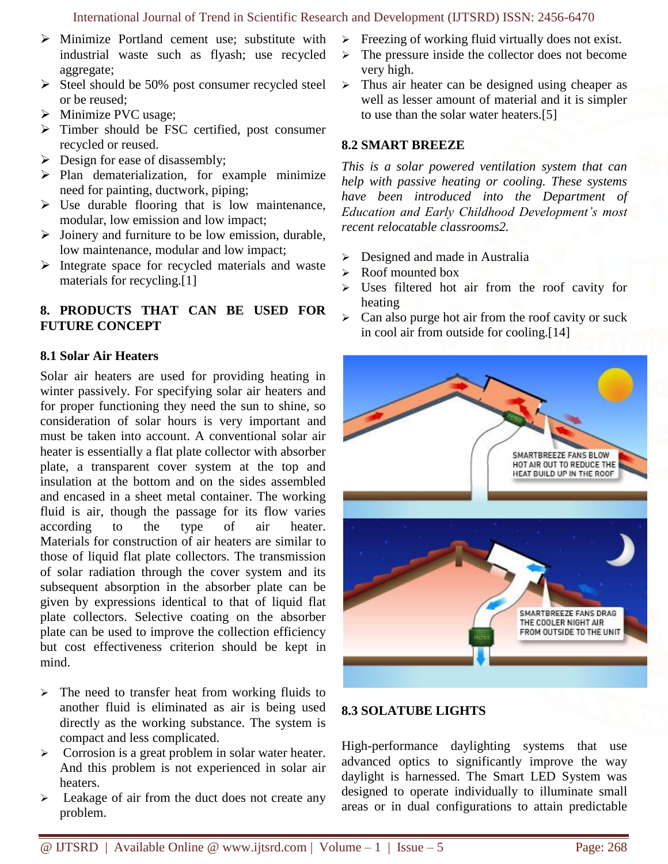- $\triangleright$  Minimize Portland cement use; substitute with industrial waste such as flyash; use recycled aggregate;
- $\triangleright$  Steel should be 50% post consumer recycled steel or be reused;
- > Minimize PVC usage;
- Timber should be FSC certified, post consumer recycled or reused.
- $\triangleright$  Design for ease of disassembly;
- $\triangleright$  Plan dematerialization, for example minimize need for painting, ductwork, piping;
- $\triangleright$  Use durable flooring that is low maintenance, modular, low emission and low impact;
- $\triangleright$  Joinery and furniture to be low emission, durable, low maintenance, modular and low impact;
- $\triangleright$  Integrate space for recycled materials and waste materials for recycling.[1]

# **8. PRODUCTS THAT CAN BE USED FOR FUTURE CONCEPT**

# **8.1 Solar Air Heaters**

Solar air heaters are used for providing heating in winter passively. For specifying solar air heaters and for proper functioning they need the sun to shine, so consideration of solar hours is very important and must be taken into account. A conventional solar air heater is essentially a flat plate collector with absorber plate, a transparent cover system at the top and insulation at the bottom and on the sides assembled and encased in a sheet metal container. The working fluid is air, though the passage for its flow varies according to the type of air heater. Materials for construction of air heaters are similar to those of liquid flat plate collectors. The transmission of solar radiation through the cover system and its subsequent absorption in the absorber plate can be given by expressions identical to that of liquid flat plate collectors. Selective coating on the absorber plate can be used to improve the collection efficiency but cost effectiveness criterion should be kept in mind.

- $\triangleright$  The need to transfer heat from working fluids to another fluid is eliminated as air is being used directly as the working substance. The system is compact and less complicated.
- Subsequentially Corrosion is a great problem in solar water heater. And this problem is not experienced in solar air heaters.
- $\triangleright$  Leakage of air from the duct does not create any problem.
- $\triangleright$  Freezing of working fluid virtually does not exist.
- $\triangleright$  The pressure inside the collector does not become very high.
- $\triangleright$  Thus air heater can be designed using cheaper as well as lesser amount of material and it is simpler to use than the solar water heaters.[5]

#### **8.2 SMART BREEZE**

*This is a solar powered ventilation system that can help with passive heating or cooling. These systems have been introduced into the Department of Education and Early Childhood Development's most recent relocatable classrooms2.* 

- Designed and made in Australia
- $\triangleright$  Roof mounted box
- Uses filtered hot air from the roof cavity for heating
- $\triangleright$  Can also purge hot air from the roof cavity or suck in cool air from outside for cooling.[14]



# **8.3 SOLATUBE LIGHTS**

High-performance daylighting systems that use advanced optics to significantly improve the way daylight is harnessed. The Smart LED System was designed to operate individually to illuminate small areas or in dual configurations to attain predictable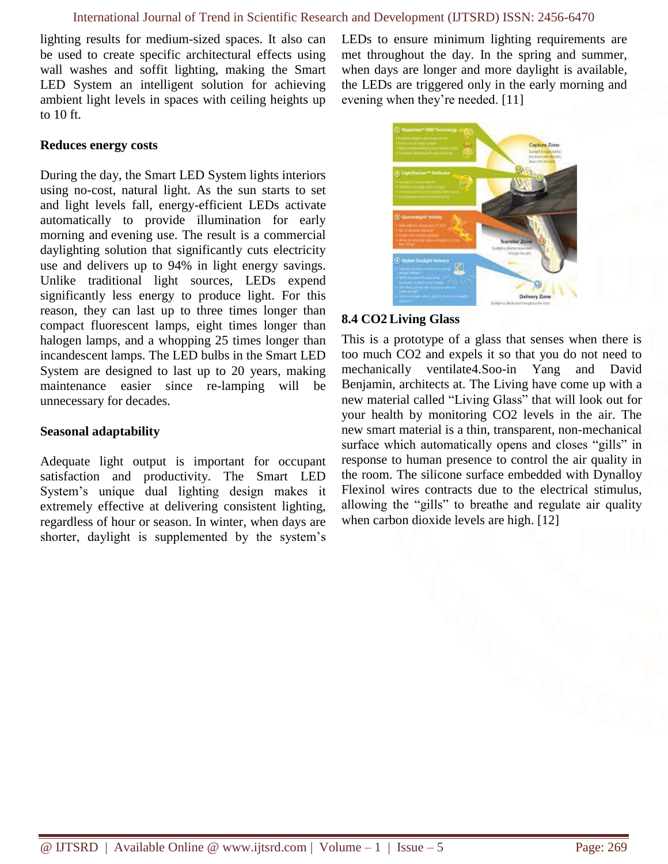lighting results for medium-sized spaces. It also can be used to create specific architectural effects using wall washes and soffit lighting, making the Smart LED System an intelligent solution for achieving ambient light levels in spaces with ceiling heights up to 10 ft.

LEDs to ensure minimum lighting requirements are met throughout the day. In the spring and summer, when days are longer and more daylight is available, the LEDs are triggered only in the early morning and evening when they're needed. [11]

#### **Reduces energy costs**

During the day, the Smart LED System lights interiors using no-cost, natural light. As the sun starts to set and light levels fall, energy-efficient LEDs activate automatically to provide illumination for early morning and evening use. The result is a commercial daylighting solution that significantly cuts electricity use and delivers up to 94% in light energy savings. Unlike traditional light sources, LEDs expend significantly less energy to produce light. For this reason, they can last up to three times longer than compact fluorescent lamps, eight times longer than halogen lamps, and a whopping 25 times longer than incandescent lamps. The LED bulbs in the Smart LED System are designed to last up to 20 years, making maintenance easier since re-lamping will be unnecessary for decades.

#### **Seasonal adaptability**

Adequate light output is important for occupant satisfaction and productivity. The Smart LED System's unique dual lighting design makes it extremely effective at delivering consistent lighting, regardless of hour or season. In winter, when days are shorter, daylight is supplemented by the system's



#### **8.4 CO2 Living Glass**

This is a prototype of a glass that senses when there is too much CO2 and expels it so that you do not need to mechanically ventilate4.Soo-in Yang and David Benjamin, architects at. [The Living](http://www.thelivingnewyork.com/) have come up with a new material called ["Living Glass"](http://www.thelivingnewyork.com/lg/lg15.htm) that will look out for your health by monitoring CO2 levels in the air. The new smart material is a thin, transparent, non-mechanical surface which automatically opens and closes "gills" in response to human presence to control the air quality in the room. The silicone surface embedded with Dynalloy Flexinol wires contracts due to the electrical stimulus, allowing the "gills" to breathe and regulate air quality when carbon dioxide levels are high. [12]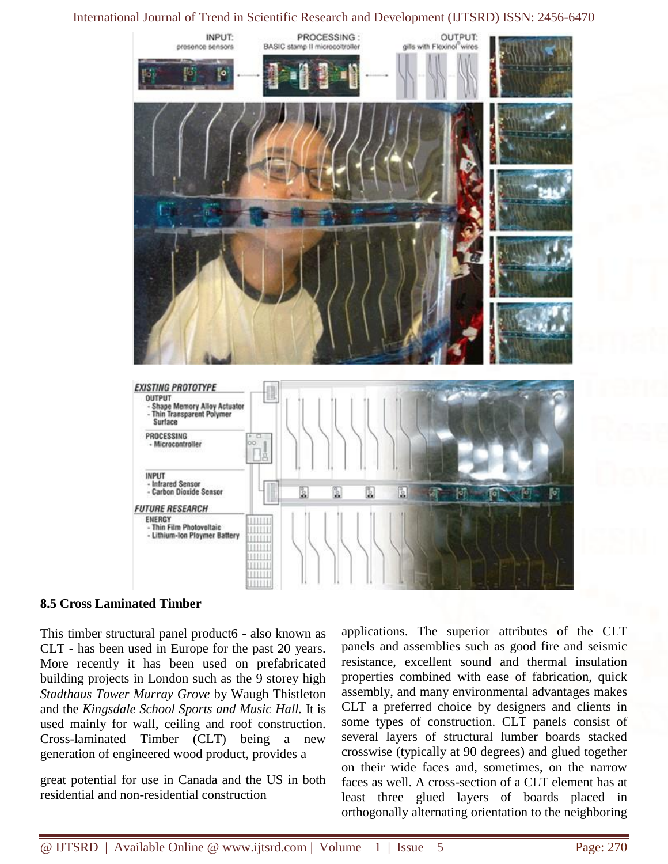

#### **8.5 Cross Laminated Timber**

This timber structural panel product6 - also known as CLT - has been used in Europe for the past 20 years. More recently it has been used on prefabricated building projects in London such as the 9 storey high *Stadthaus Tower Murray Grove* by Waugh Thistleton and the *Kingsdale School Sports and Music Hall.* It is used mainly for wall, ceiling and roof construction. Cross-laminated Timber (CLT) being a new generation of engineered wood product, provides a

great potential for use in Canada and the US in both residential and non-residential construction

applications. The superior attributes of the CLT panels and assemblies such as good fire and seismic resistance, excellent sound and thermal insulation properties combined with ease of fabrication, quick assembly, and many environmental advantages makes CLT a preferred choice by designers and clients in some types of construction. CLT panels consist of several layers of structural lumber boards stacked crosswise (typically at 90 degrees) and glued together on their wide faces and, sometimes, on the narrow faces as well. A cross-section of a CLT element has at least three glued layers of boards placed in orthogonally alternating orientation to the neighboring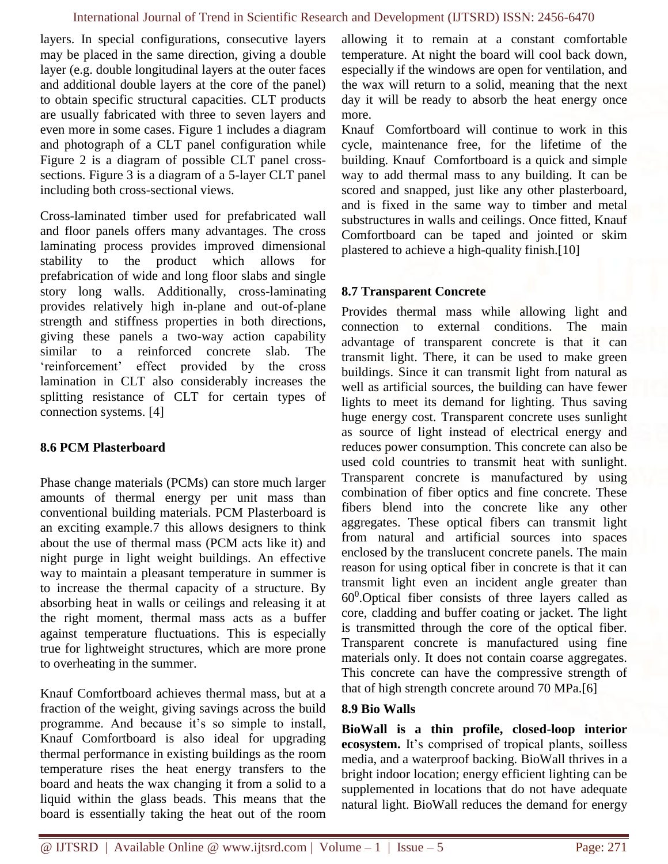layers. In special configurations, consecutive layers may be placed in the same direction, giving a double layer (e.g. double longitudinal layers at the outer faces and additional double layers at the core of the panel) to obtain specific structural capacities. CLT products are usually fabricated with three to seven layers and even more in some cases. Figure 1 includes a diagram and photograph of a CLT panel configuration while Figure 2 is a diagram of possible CLT panel crosssections. Figure 3 is a diagram of a 5-layer CLT panel including both cross-sectional views.

Cross-laminated timber used for prefabricated wall and floor panels offers many advantages. The cross laminating process provides improved dimensional stability to the product which allows for prefabrication of wide and long floor slabs and single story long walls. Additionally, cross-laminating provides relatively high in-plane and out-of-plane strength and stiffness properties in both directions, giving these panels a two-way action capability similar to a reinforced concrete slab. The 'reinforcement' effect provided by the cross lamination in CLT also considerably increases the splitting resistance of CLT for certain types of connection systems. [4]

# **8.6 PCM Plasterboard**

Phase change materials (PCMs) can store much larger amounts of thermal energy per unit mass than conventional building materials. PCM Plasterboard is an exciting example.7 this allows designers to think about the use of thermal mass (PCM acts like it) and night purge in light weight buildings. An effective way to maintain a pleasant temperature in summer is to increase the thermal capacity of a structure. By absorbing heat in walls or ceilings and releasing it at the right moment, thermal mass acts as a buffer against temperature fluctuations. This is especially true for lightweight structures, which are more prone to overheating in the summer.

Knauf Comfortboard achieves thermal mass, but at a fraction of the weight, giving savings across the build programme. And because it's so simple to install, Knauf Comfortboard is also ideal for upgrading thermal performance in existing buildings as the room temperature rises the heat energy transfers to the board and heats the wax changing it from a solid to a liquid within the glass beads. This means that the board is essentially taking the heat out of the room allowing it to remain at a constant comfortable temperature. At night the board will cool back down, especially if the windows are open for ventilation, and the wax will return to a solid, meaning that the next day it will be ready to absorb the heat energy once more.

Knauf Comfortboard will continue to work in this cycle, maintenance free, for the lifetime of the building. Knauf Comfortboard is a quick and simple way to add thermal mass to any building. It can be scored and snapped, just like any other plasterboard, and is fixed in the same way to timber and metal substructures in walls and ceilings. Once fitted, Knauf Comfortboard can be taped and jointed or skim plastered to achieve a high-quality finish.[10]

# **8.7 Transparent Concrete**

Provides thermal mass while allowing light and connection to external conditions. The main advantage of transparent concrete is that it can transmit light. There, it can be used to make green buildings. Since it can transmit light from natural as well as artificial sources, the building can have fewer lights to meet its demand for lighting. Thus saving huge energy cost. Transparent concrete uses sunlight as source of light instead of electrical energy and reduces power consumption. This concrete can also be used cold countries to transmit heat with sunlight. Transparent concrete is manufactured by using combination of fiber optics and fine concrete. These fibers blend into the concrete like any other aggregates. These optical fibers can transmit light from natural and artificial sources into spaces enclosed by the translucent concrete panels. The main reason for using optical fiber in concrete is that it can transmit light even an incident angle greater than  $60^0$ . Optical fiber consists of three layers called as core, cladding and buffer coating or jacket. The light is transmitted through the core of the optical fiber. Transparent concrete is manufactured using fine materials only. It does not contain coarse aggregates. This concrete can have the compressive strength of that of high strength concrete around 70 MPa.[6]

# **8.9 Bio Walls**

**BioWall is a thin profile, closed-loop interior ecosystem.** It's comprised of tropical plants, soilless media, and a waterproof backing. BioWall thrives in a bright indoor location; energy efficient lighting can be supplemented in locations that do not have adequate natural light. BioWall reduces the demand for energy